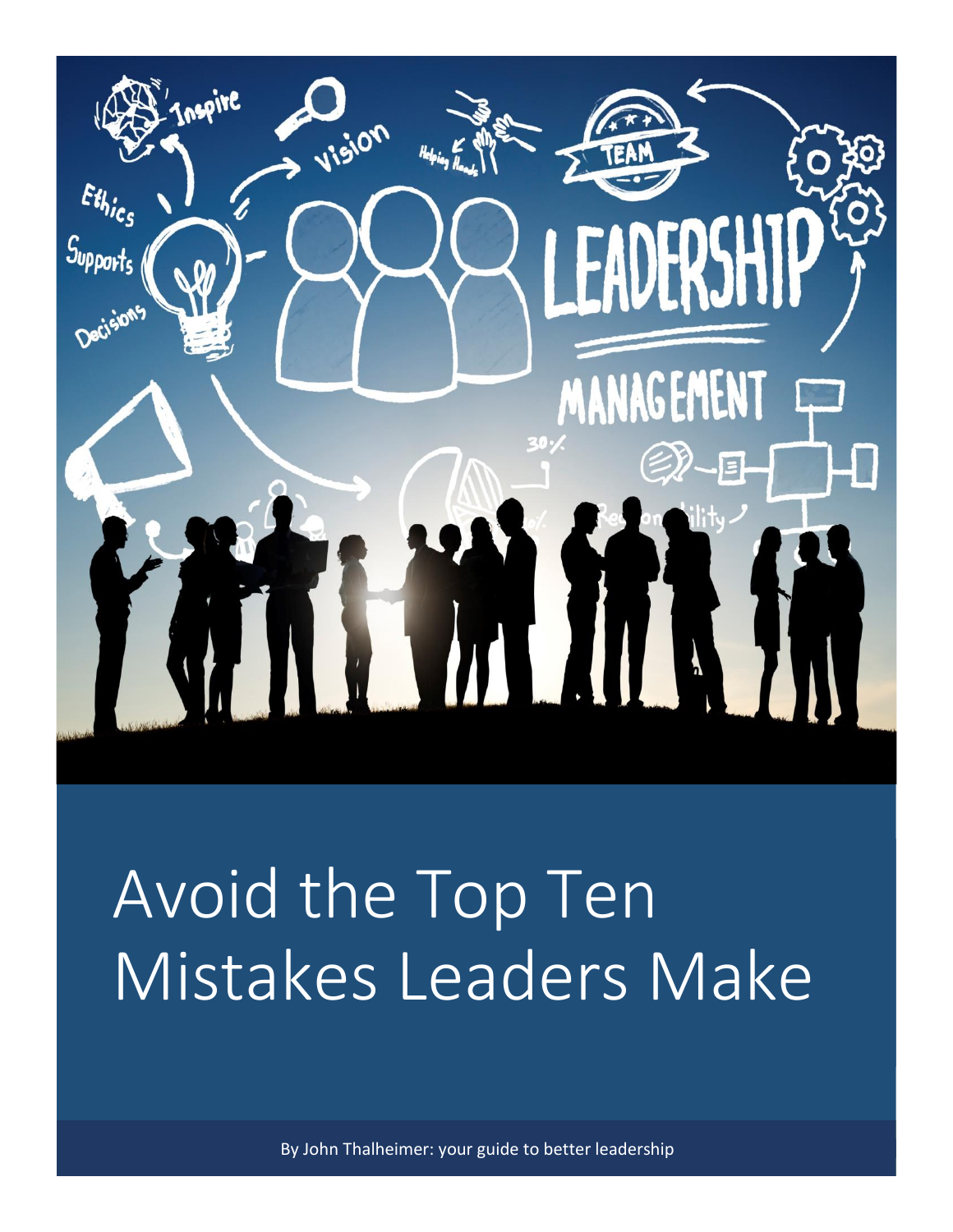

# Avoid the Top Ten Mistakes Leaders Make

By John Thalheimer: your guide to better leadership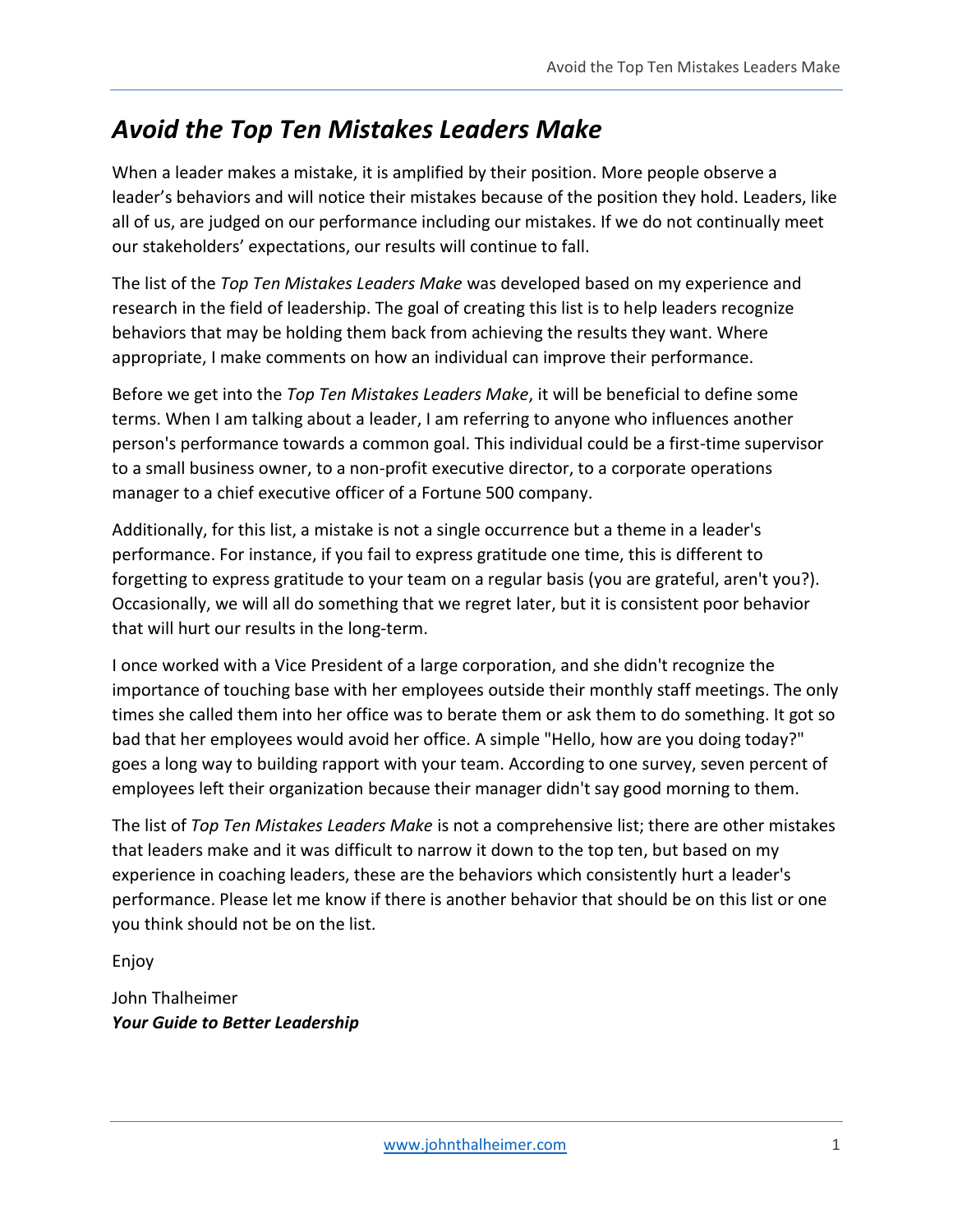## *Avoid the Top Ten Mistakes Leaders Make*

When a leader makes a mistake, it is amplified by their position. More people observe a leader's behaviors and will notice their mistakes because of the position they hold. Leaders, like all of us, are judged on our performance including our mistakes. If we do not continually meet our stakeholders' expectations, our results will continue to fall.

The list of the *Top Ten Mistakes Leaders Make* was developed based on my experience and research in the field of leadership. The goal of creating this list is to help leaders recognize behaviors that may be holding them back from achieving the results they want. Where appropriate, I make comments on how an individual can improve their performance.

Before we get into the *Top Ten Mistakes Leaders Make*, it will be beneficial to define some terms. When I am talking about a leader, I am referring to anyone who influences another person's performance towards a common goal. This individual could be a first-time supervisor to a small business owner, to a non-profit executive director, to a corporate operations manager to a chief executive officer of a Fortune 500 company.

Additionally, for this list, a mistake is not a single occurrence but a theme in a leader's performance. For instance, if you fail to express gratitude one time, this is different to forgetting to express gratitude to your team on a regular basis (you are grateful, aren't you?). Occasionally, we will all do something that we regret later, but it is consistent poor behavior that will hurt our results in the long-term.

I once worked with a Vice President of a large corporation, and she didn't recognize the importance of touching base with her employees outside their monthly staff meetings. The only times she called them into her office was to berate them or ask them to do something. It got so bad that her employees would avoid her office. A simple "Hello, how are you doing today?" goes a long way to building rapport with your team. According to one survey, seven percent of employees left their organization because their manager didn't say good morning to them.

The list of *Top Ten Mistakes Leaders Make* is not a comprehensive list; there are other mistakes that leaders make and it was difficult to narrow it down to the top ten, but based on my experience in coaching leaders, these are the behaviors which consistently hurt a leader's performance. Please let me know if there is another behavior that should be on this list or one you think should not be on the list.

Enjoy

John Thalheimer *Your Guide to Better Leadership*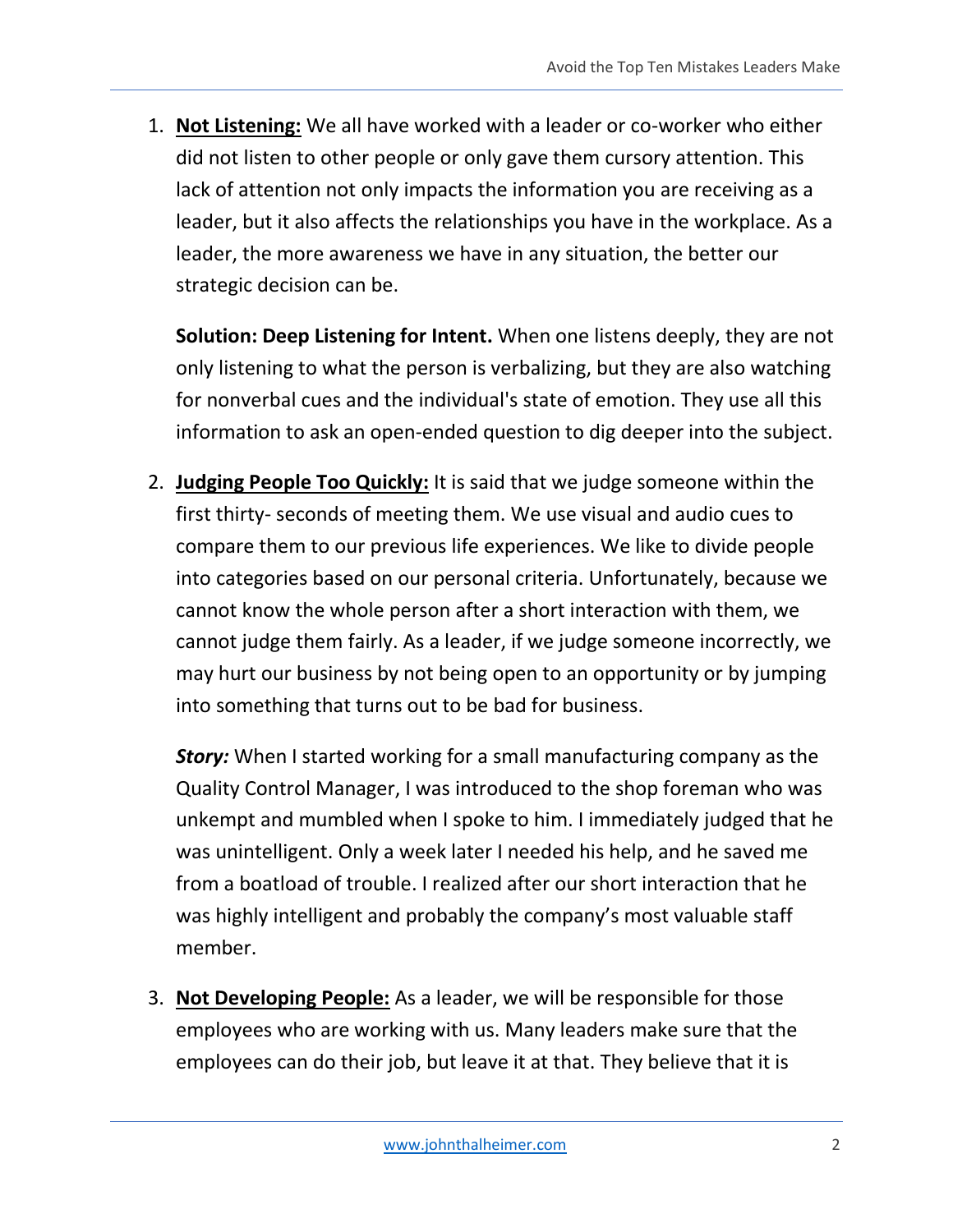1. **Not Listening:** We all have worked with a leader or co-worker who either did not listen to other people or only gave them cursory attention. This lack of attention not only impacts the information you are receiving as a leader, but it also affects the relationships you have in the workplace. As a leader, the more awareness we have in any situation, the better our strategic decision can be.

**Solution: Deep Listening for Intent.** When one listens deeply, they are not only listening to what the person is verbalizing, but they are also watching for nonverbal cues and the individual's state of emotion. They use all this information to ask an open-ended question to dig deeper into the subject.

2. **Judging People Too Quickly:** It is said that we judge someone within the first thirty- seconds of meeting them. We use visual and audio cues to compare them to our previous life experiences. We like to divide people into categories based on our personal criteria. Unfortunately, because we cannot know the whole person after a short interaction with them, we cannot judge them fairly. As a leader, if we judge someone incorrectly, we may hurt our business by not being open to an opportunity or by jumping into something that turns out to be bad for business.

**Story:** When I started working for a small manufacturing company as the Quality Control Manager, I was introduced to the shop foreman who was unkempt and mumbled when I spoke to him. I immediately judged that he was unintelligent. Only a week later I needed his help, and he saved me from a boatload of trouble. I realized after our short interaction that he was highly intelligent and probably the company's most valuable staff member.

3. **Not Developing People:** As a leader, we will be responsible for those employees who are working with us. Many leaders make sure that the employees can do their job, but leave it at that. They believe that it is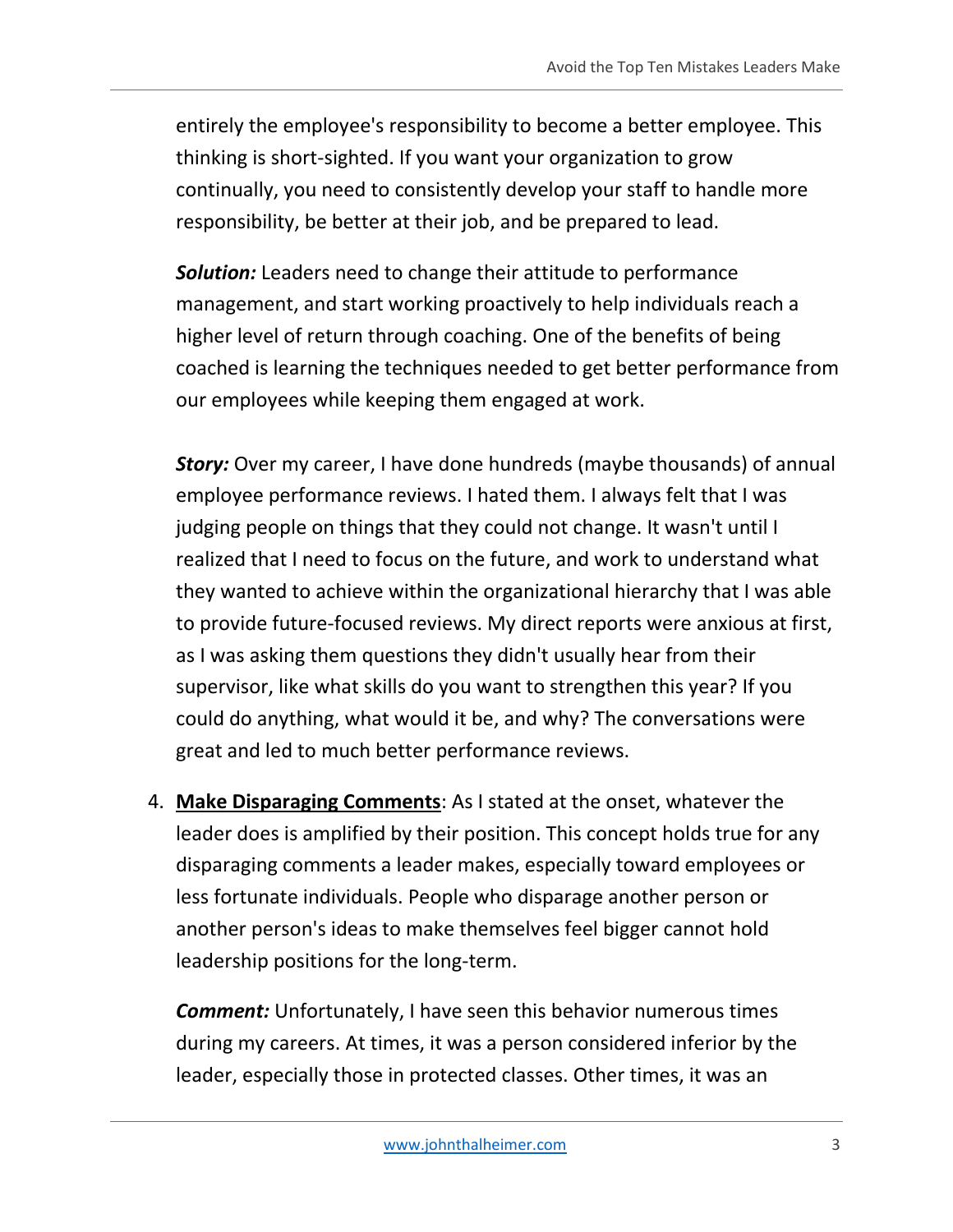entirely the employee's responsibility to become a better employee. This thinking is short-sighted. If you want your organization to grow continually, you need to consistently develop your staff to handle more responsibility, be better at their job, and be prepared to lead.

*Solution:* Leaders need to change their attitude to performance management, and start working proactively to help individuals reach a higher level of return through coaching. One of the benefits of being coached is learning the techniques needed to get better performance from our employees while keeping them engaged at work.

*Story:* Over my career, I have done hundreds (maybe thousands) of annual employee performance reviews. I hated them. I always felt that I was judging people on things that they could not change. It wasn't until I realized that I need to focus on the future, and work to understand what they wanted to achieve within the organizational hierarchy that I was able to provide future-focused reviews. My direct reports were anxious at first, as I was asking them questions they didn't usually hear from their supervisor, like what skills do you want to strengthen this year? If you could do anything, what would it be, and why? The conversations were great and led to much better performance reviews.

4. **Make Disparaging Comments**: As I stated at the onset, whatever the leader does is amplified by their position. This concept holds true for any disparaging comments a leader makes, especially toward employees or less fortunate individuals. People who disparage another person or another person's ideas to make themselves feel bigger cannot hold leadership positions for the long-term.

*Comment:* Unfortunately, I have seen this behavior numerous times during my careers. At times, it was a person considered inferior by the leader, especially those in protected classes. Other times, it was an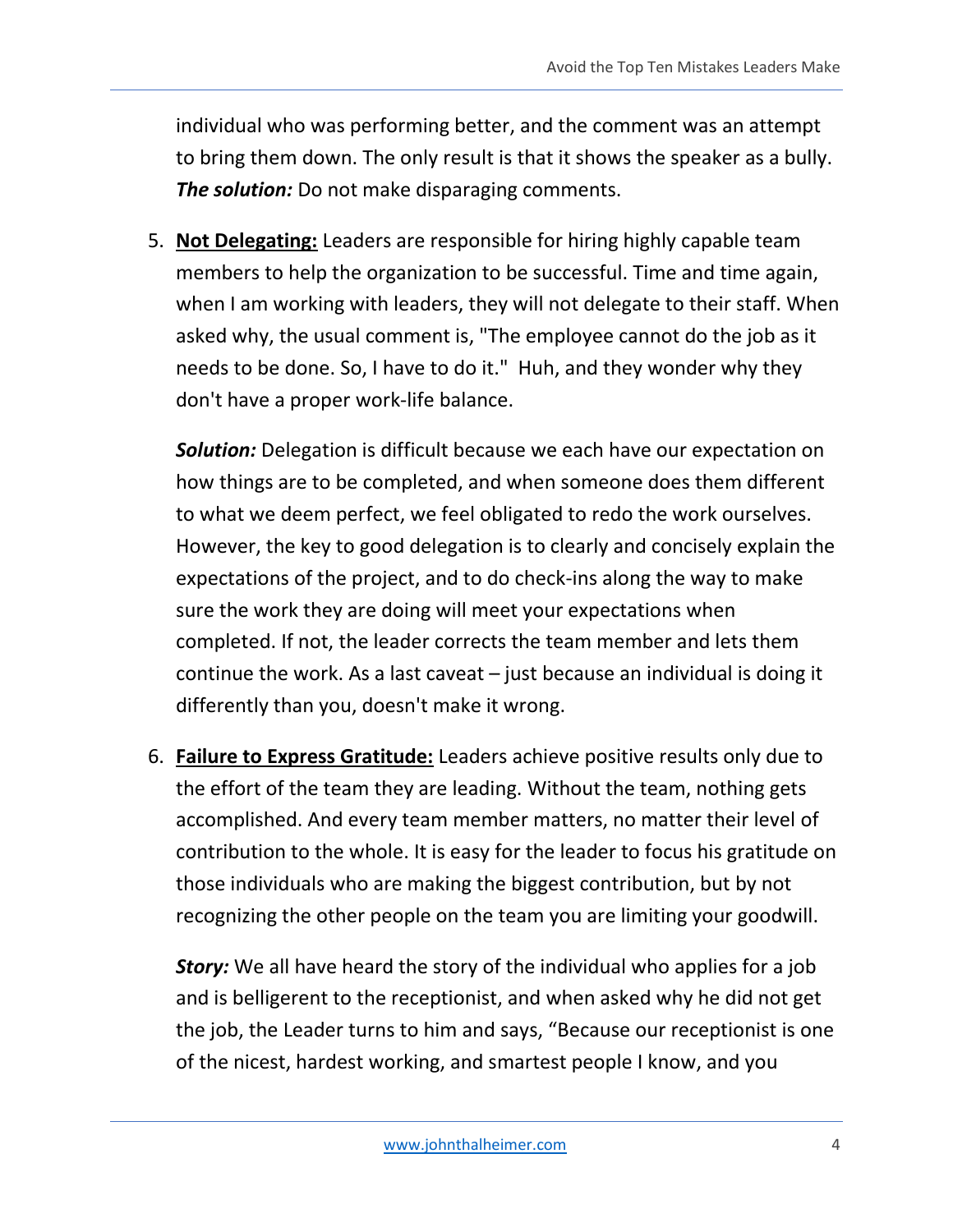individual who was performing better, and the comment was an attempt to bring them down. The only result is that it shows the speaker as a bully. *The solution:* Do not make disparaging comments.

5. **Not Delegating:** Leaders are responsible for hiring highly capable team members to help the organization to be successful. Time and time again, when I am working with leaders, they will not delegate to their staff. When asked why, the usual comment is, "The employee cannot do the job as it needs to be done. So, I have to do it." Huh, and they wonder why they don't have a proper work-life balance.

*Solution:* Delegation is difficult because we each have our expectation on how things are to be completed, and when someone does them different to what we deem perfect, we feel obligated to redo the work ourselves. However, the key to good delegation is to clearly and concisely explain the expectations of the project, and to do check-ins along the way to make sure the work they are doing will meet your expectations when completed. If not, the leader corrects the team member and lets them continue the work. As a last caveat – just because an individual is doing it differently than you, doesn't make it wrong.

6. **Failure to Express Gratitude:** Leaders achieve positive results only due to the effort of the team they are leading. Without the team, nothing gets accomplished. And every team member matters, no matter their level of contribution to the whole. It is easy for the leader to focus his gratitude on those individuals who are making the biggest contribution, but by not recognizing the other people on the team you are limiting your goodwill.

**Story:** We all have heard the story of the individual who applies for a job and is belligerent to the receptionist, and when asked why he did not get the job, the Leader turns to him and says, "Because our receptionist is one of the nicest, hardest working, and smartest people I know, and you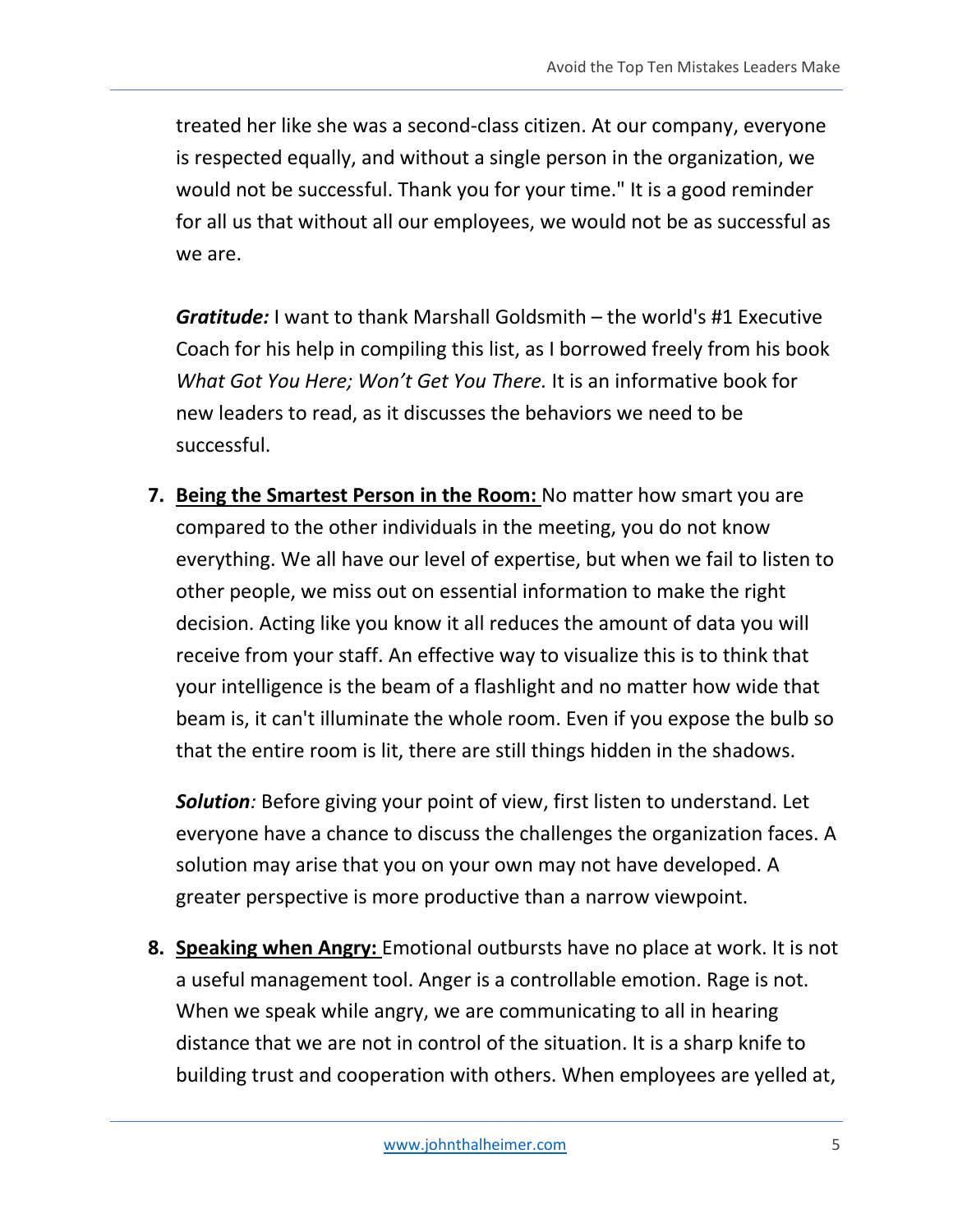treated her like she was a second-class citizen. At our company, everyone is respected equally, and without a single person in the organization, we would not be successful. Thank you for your time." It is a good reminder for all us that without all our employees, we would not be as successful as we are.

*Gratitude:* I want to thank Marshall Goldsmith – the world's #1 Executive Coach for his help in compiling this list, as I borrowed freely from his book *What Got You Here; Won't Get You There.* It is an informative book for new leaders to read, as it discusses the behaviors we need to be successful.

**7. Being the Smartest Person in the Room:** No matter how smart you are compared to the other individuals in the meeting, you do not know everything. We all have our level of expertise, but when we fail to listen to other people, we miss out on essential information to make the right decision. Acting like you know it all reduces the amount of data you will receive from your staff. An effective way to visualize this is to think that your intelligence is the beam of a flashlight and no matter how wide that beam is, it can't illuminate the whole room. Even if you expose the bulb so that the entire room is lit, there are still things hidden in the shadows.

*Solution:* Before giving your point of view, first listen to understand. Let everyone have a chance to discuss the challenges the organization faces. A solution may arise that you on your own may not have developed. A greater perspective is more productive than a narrow viewpoint.

**8. Speaking when Angry:** Emotional outbursts have no place at work. It is not a useful management tool. Anger is a controllable emotion. Rage is not. When we speak while angry, we are communicating to all in hearing distance that we are not in control of the situation. It is a sharp knife to building trust and cooperation with others. When employees are yelled at,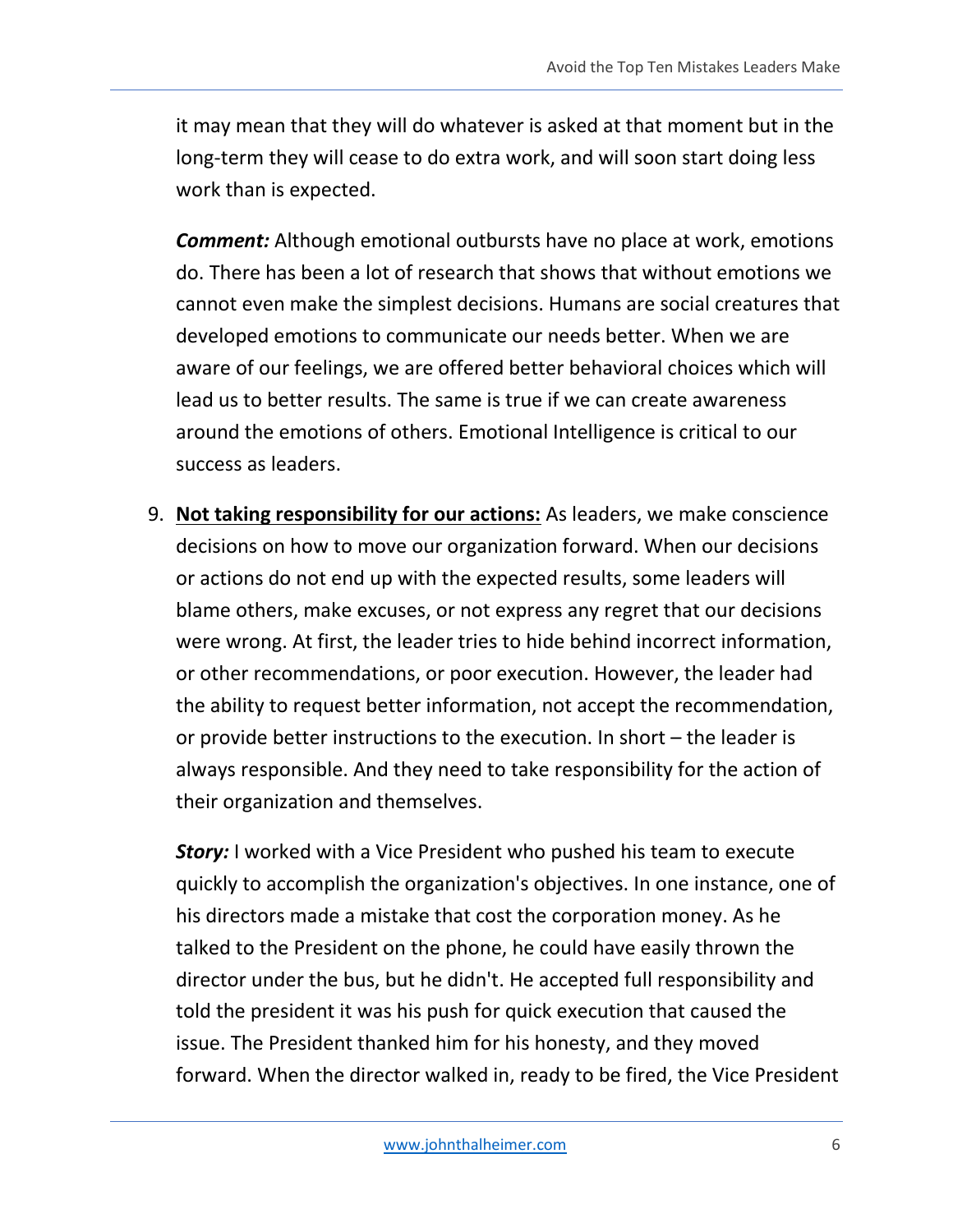it may mean that they will do whatever is asked at that moment but in the long-term they will cease to do extra work, and will soon start doing less work than is expected.

*Comment:* Although emotional outbursts have no place at work, emotions do. There has been a lot of research that shows that without emotions we cannot even make the simplest decisions. Humans are social creatures that developed emotions to communicate our needs better. When we are aware of our feelings, we are offered better behavioral choices which will lead us to better results. The same is true if we can create awareness around the emotions of others. Emotional Intelligence is critical to our success as leaders.

9. **Not taking responsibility for our actions:** As leaders, we make conscience decisions on how to move our organization forward. When our decisions or actions do not end up with the expected results, some leaders will blame others, make excuses, or not express any regret that our decisions were wrong. At first, the leader tries to hide behind incorrect information, or other recommendations, or poor execution. However, the leader had the ability to request better information, not accept the recommendation, or provide better instructions to the execution. In short – the leader is always responsible. And they need to take responsibility for the action of their organization and themselves.

**Story:** I worked with a Vice President who pushed his team to execute quickly to accomplish the organization's objectives. In one instance, one of his directors made a mistake that cost the corporation money. As he talked to the President on the phone, he could have easily thrown the director under the bus, but he didn't. He accepted full responsibility and told the president it was his push for quick execution that caused the issue. The President thanked him for his honesty, and they moved forward. When the director walked in, ready to be fired, the Vice President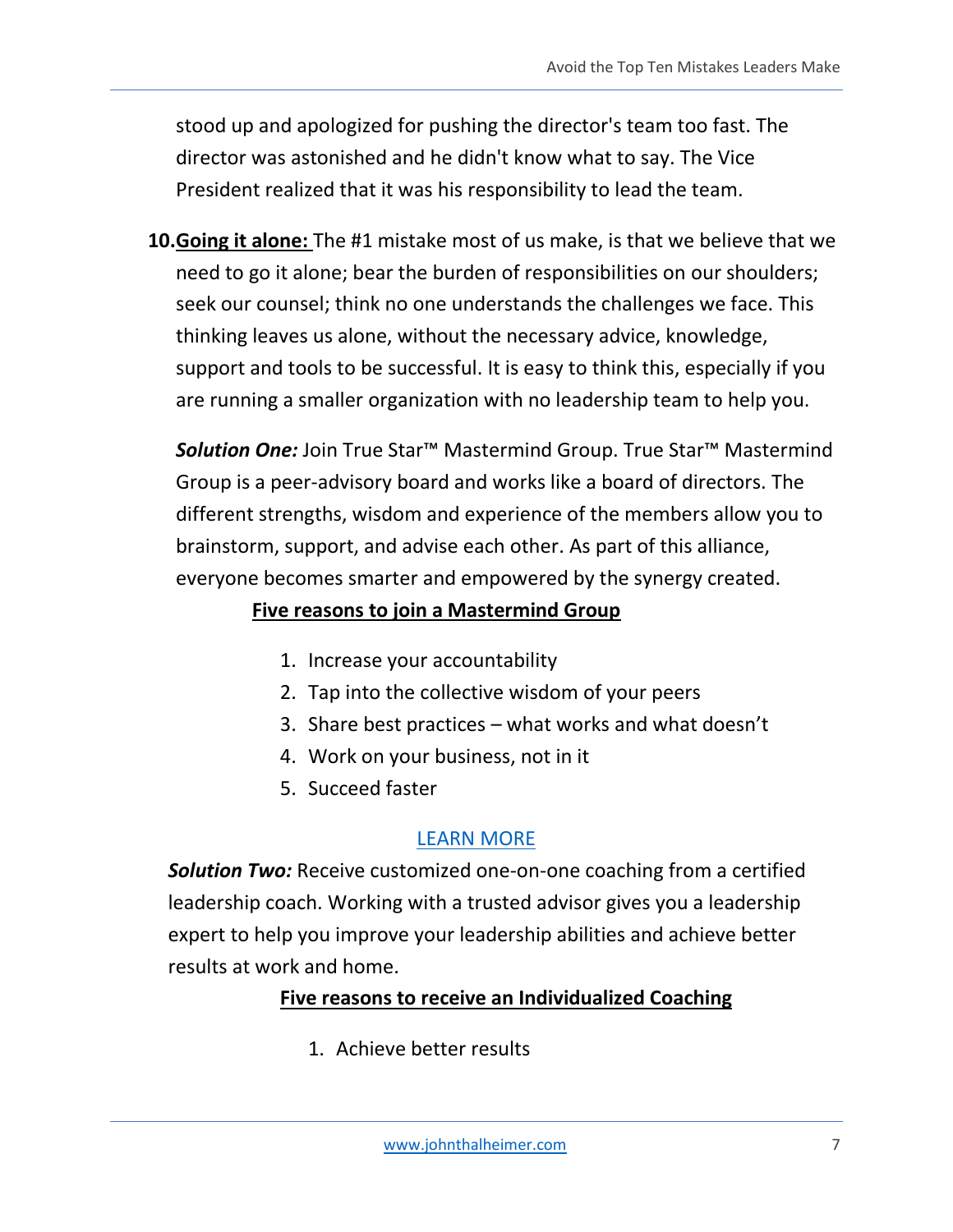stood up and apologized for pushing the director's team too fast. The director was astonished and he didn't know what to say. The Vice President realized that it was his responsibility to lead the team.

**10.Going it alone:** The #1 mistake most of us make, is that we believe that we need to go it alone; bear the burden of responsibilities on our shoulders; seek our counsel; think no one understands the challenges we face. This thinking leaves us alone, without the necessary advice, knowledge, support and tools to be successful. It is easy to think this, especially if you are running a smaller organization with no leadership team to help you.

*Solution One:* Join True Star™ Mastermind Group. True Star™ Mastermind Group is a peer-advisory board and works like a board of directors. The different strengths, wisdom and experience of the members allow you to brainstorm, support, and advise each other. As part of this alliance, everyone becomes smarter and empowered by the synergy created.

### **Five reasons to join a Mastermind Group**

- 1. Increase your accountability
- 2. Tap into the collective wisdom of your peers
- 3. Share best practices what works and what doesn't
- 4. Work on your business, not in it
- 5. Succeed faster

#### [LEARN MORE](http://www.johnthalheimer.com/true-star-mastermind-group/)

*Solution Two:* Receive customized one-on-one coaching from a certified leadership coach. Working with a trusted advisor gives you a leadership expert to help you improve your leadership abilities and achieve better results at work and home.

#### **Five reasons to receive an Individualized Coaching**

1. Achieve better results